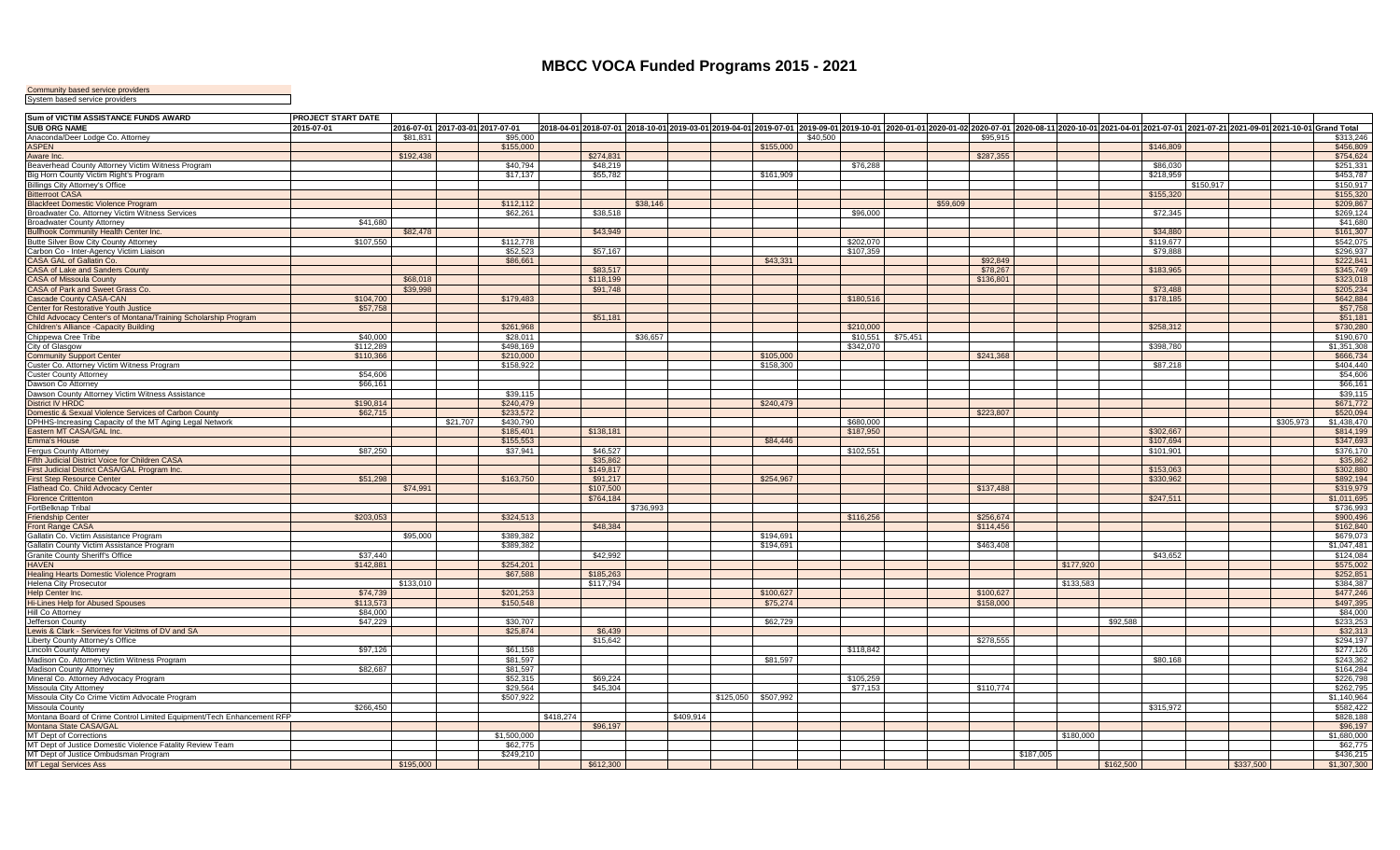## **MBCC VOCA Funded Programs 2015 - 2021**

Community based service providers System based service providers

| Sum of VICTIM ASSISTANCE FUNDS AWARD                                    | PROJECT START DATE    |           |                                  |           |                        |           |           |                     |          |           |                     |          |           |           |                                                                                                                                                                                                                              |           |           |           |           |                          |
|-------------------------------------------------------------------------|-----------------------|-----------|----------------------------------|-----------|------------------------|-----------|-----------|---------------------|----------|-----------|---------------------|----------|-----------|-----------|------------------------------------------------------------------------------------------------------------------------------------------------------------------------------------------------------------------------------|-----------|-----------|-----------|-----------|--------------------------|
| SUB ORG NAME                                                            | 2015-07-01            |           | 2016-07-01 2017-03-01 2017-07-01 |           |                        |           |           |                     |          |           |                     |          |           |           | 2018-04-01 2018-07-01  2018-10-01 2019-03-01 2019-04-01 2019-07-01  2019-09-01 2019-10-01  2020-01-01 2020-01-02 2020-07-01  2020-08-11 2020-05-01 2021-04-01 2021-07-01  2021-07-21  2021-07-21 2021-09-01 2021-10-01 Crand |           |           |           |           |                          |
| Anaconda/Deer Lodge Co. Attorney                                        |                       | \$81.831  | \$95,000                         |           |                        |           |           |                     | \$40,500 |           |                     |          | \$95.915  |           |                                                                                                                                                                                                                              |           |           |           |           | \$313.246                |
| <b>ASPEN</b>                                                            |                       |           | \$155,000                        |           |                        |           |           | \$155,000           |          |           |                     |          |           |           |                                                                                                                                                                                                                              | \$146,809 |           |           |           | \$456,809                |
| Aware Inc.                                                              |                       | \$192,438 |                                  |           | \$274,831              |           |           |                     |          |           |                     |          | \$287,355 |           |                                                                                                                                                                                                                              |           |           |           |           | \$754,624                |
| Beaverhead County Attorney Victim Witness Program                       |                       |           | \$40,794                         |           | \$48.219               |           |           |                     |          | \$76,288  |                     |          |           |           |                                                                                                                                                                                                                              | \$86,030  |           |           |           | \$251,331                |
| Big Horn County Victim Right's Program                                  |                       |           | \$17,137                         |           | \$55,782               |           |           | \$161,909           |          |           |                     |          |           |           |                                                                                                                                                                                                                              | \$218,959 |           |           |           | \$453,787                |
| Billings City Attorney's Office                                         |                       |           |                                  |           |                        |           |           |                     |          |           |                     |          |           |           |                                                                                                                                                                                                                              |           | \$150.917 |           |           | \$150,917                |
| <b>Bitterroot CASA</b>                                                  |                       |           |                                  |           |                        |           |           |                     |          |           |                     |          |           |           |                                                                                                                                                                                                                              | \$155,320 |           |           |           | \$155,320                |
| <b>Blackfeet Domestic Violence Program</b>                              |                       |           | \$112,112                        |           |                        | \$38,146  |           |                     |          |           |                     | \$59,609 |           |           |                                                                                                                                                                                                                              |           |           |           |           | \$209,867                |
| Broadwater Co. Attorney Victim Witness Services                         |                       |           | \$62,261                         |           | \$38,518               |           |           |                     |          | \$96,000  |                     |          |           |           |                                                                                                                                                                                                                              | \$72,345  |           |           |           | \$269,124                |
| <b>Broadwater County Attorney</b>                                       | \$41,680              |           |                                  |           |                        |           |           |                     |          |           |                     |          |           |           |                                                                                                                                                                                                                              |           |           |           |           | \$41,680                 |
| <b>Bullhook Community Health Center Inc.</b>                            |                       | \$82,478  |                                  |           | \$43,949               |           |           |                     |          |           |                     |          |           |           |                                                                                                                                                                                                                              | \$34,880  |           |           |           | \$161,307                |
| Butte Silver Bow City County Attorney                                   | \$107,550             |           | \$112,778                        |           |                        |           |           |                     |          | \$202,070 |                     |          |           |           |                                                                                                                                                                                                                              | \$119,677 |           |           |           | \$542,075                |
| Carbon Co - Inter-Agency Victim Liaison                                 |                       |           | \$52,523                         |           | \$57,167               |           |           |                     |          | \$107,359 |                     |          |           |           |                                                                                                                                                                                                                              | \$79,888  |           |           |           | \$296,937                |
| CASA GAL of Gallatin Co.                                                |                       |           | \$86,661                         |           |                        |           |           | \$43.331            |          |           |                     |          | \$92,849  |           |                                                                                                                                                                                                                              |           |           |           |           | \$222,841                |
| CASA of Lake and Sanders County                                         |                       |           |                                  |           | \$83,517               |           |           |                     |          |           |                     |          | \$78,267  |           |                                                                                                                                                                                                                              | \$183,965 |           |           |           | \$345,749                |
| <b>CASA of Missoula County</b>                                          |                       | \$68,018  |                                  |           | \$118,199              |           |           |                     |          |           |                     |          | \$136,801 |           |                                                                                                                                                                                                                              |           |           |           |           | \$323,018                |
| CASA of Park and Sweet Grass Co.                                        |                       | \$39,998  |                                  |           | \$91,748               |           |           |                     |          |           |                     |          |           |           |                                                                                                                                                                                                                              | \$73,488  |           |           |           | \$205,234                |
| Cascade County CASA-CAN                                                 | \$104,700             |           | \$179,483                        |           |                        |           |           |                     |          | \$180,516 |                     |          |           |           |                                                                                                                                                                                                                              | \$178,185 |           |           |           | \$642,884                |
| Center for Restorative Youth Justice                                    | \$57,758              |           |                                  |           |                        |           |           |                     |          |           |                     |          |           |           |                                                                                                                                                                                                                              |           |           |           |           | \$57,758                 |
| Child Advocacy Center's of Montana/Training Scholarship Program         |                       |           |                                  |           | \$51,181               |           |           |                     |          |           |                     |          |           |           |                                                                                                                                                                                                                              |           |           |           |           | \$51,181                 |
| Children's Alliance -Capacity Building                                  |                       |           | \$261,968                        |           |                        |           |           |                     |          | \$210,000 |                     |          |           |           |                                                                                                                                                                                                                              | \$258,312 |           |           |           | \$730,280                |
| Chippewa Cree Tribe                                                     | \$40,000              |           | \$28,011                         |           |                        | \$36,657  |           |                     |          |           | $$10,551$ $$75,451$ |          |           |           |                                                                                                                                                                                                                              |           |           |           |           | \$190,670                |
| City of Glasgow                                                         | \$112,289             |           | \$498,169                        |           |                        |           |           |                     |          | \$342,070 |                     |          |           |           |                                                                                                                                                                                                                              | \$398,780 |           |           |           | \$1,351,308              |
| <b>Community Support Center</b>                                         | \$110,366             |           | \$210,000                        |           |                        |           |           | \$105,000           |          |           |                     |          | \$241,368 |           |                                                                                                                                                                                                                              |           |           |           |           | \$666,734                |
| Custer Co. Attorney Victim Witness Program                              |                       |           | \$158,922                        |           |                        |           |           | \$158,300           |          |           |                     |          |           |           |                                                                                                                                                                                                                              | \$87,218  |           |           |           | \$404,440                |
| <b>Custer County Attorney</b>                                           | \$54,606              |           |                                  |           |                        |           |           |                     |          |           |                     |          |           |           |                                                                                                                                                                                                                              |           |           |           |           | \$54,606                 |
| Dawson Co Attorney                                                      | \$66,161              |           |                                  |           |                        |           |           |                     |          |           |                     |          |           |           |                                                                                                                                                                                                                              |           |           |           |           | \$66,161                 |
| Dawson County Attorney Victim Witness Assistance                        |                       |           | \$39,115                         |           |                        |           |           |                     |          |           |                     |          |           |           |                                                                                                                                                                                                                              |           |           |           |           | \$39,115                 |
| <b>District IV HRDC</b>                                                 | \$190,814             |           | \$240,479                        |           |                        |           |           | \$240,479           |          |           |                     |          |           |           |                                                                                                                                                                                                                              |           |           |           |           | \$671,772                |
| Domestic & Sexual Violence Services of Carbon County                    | \$62,715              |           | \$233,572                        |           |                        |           |           |                     |          |           |                     |          | \$223,807 |           |                                                                                                                                                                                                                              |           |           |           |           | \$520,094                |
| DPHHS-Increasing Capacity of the MT Aging Legal Network                 |                       |           | \$21,707<br>\$430,790            |           |                        |           |           |                     |          | \$680,000 |                     |          |           |           |                                                                                                                                                                                                                              |           |           |           | \$305,973 | \$1,438,470              |
| Eastern MT CASA/GAL Inc.                                                |                       |           | \$185,401                        |           | \$138,181              |           |           |                     |          | \$187,950 |                     |          |           |           |                                                                                                                                                                                                                              | \$302,667 |           |           |           | \$814,199                |
| <b>Emma's House</b>                                                     |                       |           | \$155.553                        |           |                        |           |           | \$84,446            |          |           |                     |          |           |           |                                                                                                                                                                                                                              | \$107,694 |           |           |           | \$347,693                |
| Fergus County Attorney                                                  | \$87,250              |           | \$37,941                         |           | \$46,527               |           |           |                     |          | \$102,551 |                     |          |           |           |                                                                                                                                                                                                                              | \$101,901 |           |           |           | \$376,170                |
| Fifth Judicial District Voice for Children CASA                         |                       |           |                                  |           | \$35,862               |           |           |                     |          |           |                     |          |           |           |                                                                                                                                                                                                                              |           |           |           |           | \$35,862                 |
| First Judicial District CASA/GAL Program Inc.                           |                       |           |                                  |           | \$149,817              |           |           |                     |          |           |                     |          |           |           |                                                                                                                                                                                                                              | \$153,063 |           |           |           | \$302,880                |
|                                                                         | \$51,298              |           | \$163,750                        |           | \$91,217               |           |           | \$254,967           |          |           |                     |          |           |           |                                                                                                                                                                                                                              | \$330,962 |           |           |           | \$892,194                |
| <b>First Step Resource Center</b><br>Flathead Co. Child Advocacy Center |                       |           |                                  |           |                        |           |           |                     |          |           |                     |          |           |           |                                                                                                                                                                                                                              |           |           |           |           |                          |
| <b>Florence Crittenton</b>                                              |                       | \$74,991  |                                  |           | \$107,500<br>\$764,184 |           |           |                     |          |           |                     |          | \$137,488 |           |                                                                                                                                                                                                                              | \$247,511 |           |           |           | \$319,979<br>\$1,011,695 |
| FortBelknap Tribal                                                      |                       |           |                                  |           |                        | \$736.993 |           |                     |          |           |                     |          |           |           |                                                                                                                                                                                                                              |           |           |           |           | \$736,993                |
|                                                                         | \$203,053             |           | \$324,513                        |           |                        |           |           |                     |          |           |                     |          | \$256,674 |           |                                                                                                                                                                                                                              |           |           |           |           | \$900,496                |
| <b>Friendship Center</b><br><b>Front Range CASA</b>                     |                       |           |                                  |           | \$48,384               |           |           |                     |          | \$116,256 |                     |          | \$114,456 |           |                                                                                                                                                                                                                              |           |           |           |           | \$162,840                |
| Gallatin Co. Victim Assistance Program                                  |                       | \$95,000  | \$389.382                        |           |                        |           |           | \$194.691           |          |           |                     |          |           |           |                                                                                                                                                                                                                              |           |           |           |           | \$679,073                |
|                                                                         |                       |           |                                  |           |                        |           |           |                     |          |           |                     |          |           |           |                                                                                                                                                                                                                              |           |           |           |           | \$1,047,481              |
| Gallatin County Victim Assistance Program                               |                       |           | \$389,382                        |           |                        |           |           | \$194,691           |          |           |                     |          | \$463,408 |           |                                                                                                                                                                                                                              |           |           |           |           |                          |
| Granite County Sheriff's Office<br><b>HAVEN</b>                         | \$37,440<br>\$142,881 |           | \$254.201                        |           | \$42,992               |           |           |                     |          |           |                     |          |           |           | \$177,920                                                                                                                                                                                                                    | \$43,652  |           |           |           | \$124,084                |
| <b>Healing Hearts Domestic Violence Program</b>                         |                       |           | \$67,588                         |           | \$185,263              |           |           |                     |          |           |                     |          |           |           |                                                                                                                                                                                                                              |           |           |           |           | \$575,002<br>\$252,851   |
|                                                                         |                       |           |                                  |           |                        |           |           |                     |          |           |                     |          |           |           |                                                                                                                                                                                                                              |           |           |           |           |                          |
| Helena City Prosecutor                                                  |                       | \$133,010 |                                  |           | \$117,794              |           |           |                     |          |           |                     |          |           |           | \$133,583                                                                                                                                                                                                                    |           |           |           |           | \$384,387                |
| Help Center Inc.                                                        | \$74,739              |           | \$201,253                        |           |                        |           |           | \$100,627           |          |           |                     |          | \$100,627 |           |                                                                                                                                                                                                                              |           |           |           |           | \$477,246                |
| <b>Hi-Lines Help for Abused Spouses</b><br>Hill Co Attorney             | \$113,573<br>\$84,000 |           | \$150,548                        |           |                        |           |           | \$75,274            |          |           |                     |          | \$158,000 |           |                                                                                                                                                                                                                              |           |           |           |           | \$497,395<br>\$84,000    |
|                                                                         |                       |           |                                  |           |                        |           |           |                     |          |           |                     |          |           |           |                                                                                                                                                                                                                              |           |           |           |           |                          |
| Jefferson County                                                        | \$47,229              |           | \$30,707                         |           |                        |           |           | \$62,729            |          |           |                     |          |           |           | \$92,588                                                                                                                                                                                                                     |           |           |           |           | \$233,253                |
| Lewis & Clark - Services for Vicitms of DV and SA                       |                       |           | \$25,874                         |           | \$6,439                |           |           |                     |          |           |                     |          |           |           |                                                                                                                                                                                                                              |           |           |           |           | \$32,313                 |
| Liberty County Attorney's Office                                        |                       |           |                                  |           | \$15,642               |           |           |                     |          |           |                     |          | \$278,555 |           |                                                                                                                                                                                                                              |           |           |           |           | \$294,197                |
| <b>Lincoln County Attorney</b>                                          | \$97,126              |           | \$61,158                         |           |                        |           |           |                     |          | \$118,842 |                     |          |           |           |                                                                                                                                                                                                                              |           |           |           |           | \$277,126                |
| Madison Co. Attorney Victim Witness Program                             |                       |           | \$81,597                         |           |                        |           |           | \$81,597            |          |           |                     |          |           |           |                                                                                                                                                                                                                              | \$80,168  |           |           |           | \$243,362                |
| Madison County Attorney                                                 | \$82,687              |           | \$81,597                         |           |                        |           |           |                     |          |           |                     |          |           |           |                                                                                                                                                                                                                              |           |           |           |           | \$164,284                |
| Mineral Co. Attorney Advocacy Program                                   |                       |           | \$52,315                         |           | \$69,224               |           |           |                     |          | \$105,259 |                     |          |           |           |                                                                                                                                                                                                                              |           |           |           |           | \$226,798                |
| Missoula City Attorney                                                  |                       |           | \$29.564                         |           | \$45,304               |           |           |                     |          | \$77,153  |                     |          | \$110,774 |           |                                                                                                                                                                                                                              |           |           |           |           | \$262,795                |
| Missoula City Co Crime Victim Advocate Program                          |                       |           | \$507,922                        |           |                        |           |           | \$125,050 \$507,992 |          |           |                     |          |           |           |                                                                                                                                                                                                                              |           |           |           |           | \$1,140,964              |
| Missoula County                                                         | \$266,450             |           |                                  |           |                        |           |           |                     |          |           |                     |          |           |           |                                                                                                                                                                                                                              | \$315,972 |           |           |           | \$582,422                |
| Montana Board of Crime Control Limited Equipment/Tech Enhancement RFP   |                       |           |                                  | \$418,274 |                        |           | \$409,914 |                     |          |           |                     |          |           |           |                                                                                                                                                                                                                              |           |           |           |           | \$828,188                |
| Montana State CASA/GAL                                                  |                       |           |                                  |           | \$96,197               |           |           |                     |          |           |                     |          |           |           |                                                                                                                                                                                                                              |           |           |           |           | \$96,197                 |
| MT Dept of Corrections                                                  |                       |           | \$1,500,000                      |           |                        |           |           |                     |          |           |                     |          |           |           | \$180,000                                                                                                                                                                                                                    |           |           |           |           | \$1,680,000              |
| MT Dept of Justice Domestic Violence Fatality Review Team               |                       |           | \$62,775                         |           |                        |           |           |                     |          |           |                     |          |           |           |                                                                                                                                                                                                                              |           |           |           |           | \$62,775                 |
| MT Dept of Justice Ombudsman Program                                    |                       |           | \$249,210                        |           |                        |           |           |                     |          |           |                     |          |           | \$187,005 |                                                                                                                                                                                                                              |           |           |           |           | \$436,215                |
| <b>MT Legal Services Ass</b>                                            |                       | \$195,000 |                                  |           | \$612,300              |           |           |                     |          |           |                     |          |           |           | \$162,500                                                                                                                                                                                                                    |           |           | \$337,500 |           | \$1,307,300              |
|                                                                         |                       |           |                                  |           |                        |           |           |                     |          |           |                     |          |           |           |                                                                                                                                                                                                                              |           |           |           |           |                          |